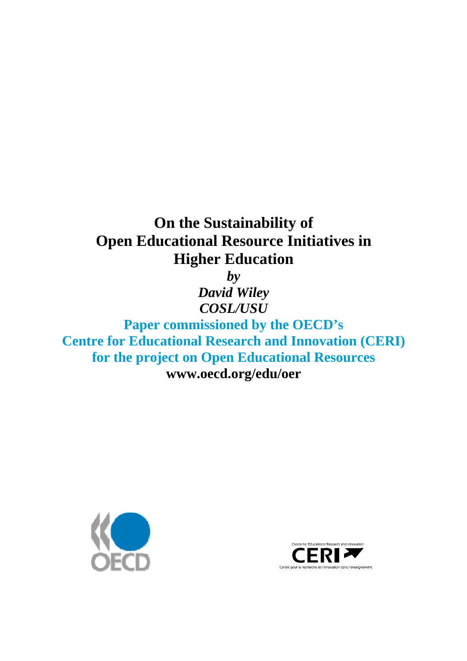# **On the Sustainability of Open Educational Resource Initiatives in Higher Education**

*by* 

*David Wiley COSL/USU*

**Paper commissioned by the OECD's Centre for Educational Research and Innovation (CERI) for the project on Open Educational Resources [www.oecd.org/edu/oer](http://www.oecd.org/edu/oer)**



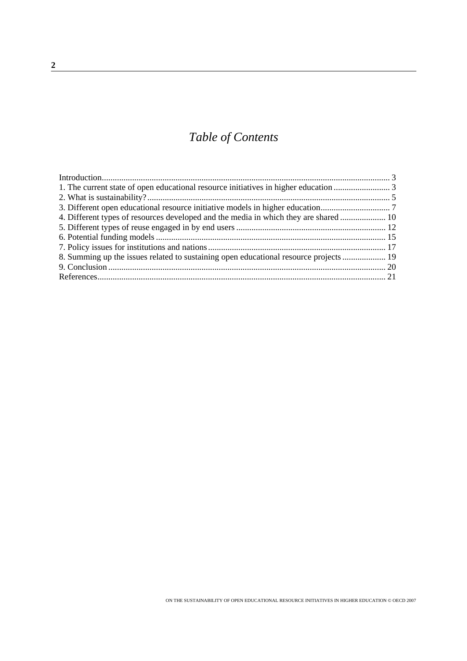## *Table of Contents*

| 8. Summing up the issues related to sustaining open educational resource projects |  |
|-----------------------------------------------------------------------------------|--|
|                                                                                   |  |
|                                                                                   |  |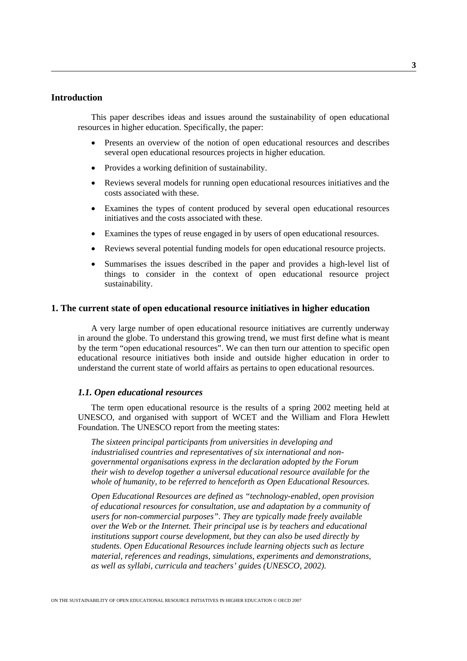## <span id="page-2-0"></span>**Introduction**

This paper describes ideas and issues around the sustainability of open educational resources in higher education. Specifically, the paper:

- Presents an overview of the notion of open educational resources and describes several open educational resources projects in higher education.
- Provides a working definition of sustainability.
- Reviews several models for running open educational resources initiatives and the costs associated with these.
- Examines the types of content produced by several open educational resources initiatives and the costs associated with these.
- Examines the types of reuse engaged in by users of open educational resources.
- Reviews several potential funding models for open educational resource projects.
- Summarises the issues described in the paper and provides a high-level list of things to consider in the context of open educational resource project sustainability.

## **1. The current state of open educational resource initiatives in higher education**

A very large number of open educational resource initiatives are currently underway in around the globe. To understand this growing trend, we must first define what is meant by the term "open educational resources". We can then turn our attention to specific open educational resource initiatives both inside and outside higher education in order to understand the current state of world affairs as pertains to open educational resources.

## *1.1. Open educational resources*

The term open educational resource is the results of a spring 2002 meeting held at UNESCO, and organised with support of WCET and the William and Flora Hewlett Foundation. The UNESCO report from the meeting states:

*The sixteen principal participants from universities in developing and industrialised countries and representatives of six international and nongovernmental organisations express in the declaration adopted by the Forum their wish to develop together a universal educational resource available for the whole of humanity, to be referred to henceforth as Open Educational Resources.*

*Open Educational Resources are defined as "technology-enabled, open provision of educational resources for consultation, use and adaptation by a community of users for non-commercial purposes". They are typically made freely available over the Web or the Internet. Their principal use is by teachers and educational institutions support course development, but they can also be used directly by students. Open Educational Resources include learning objects such as lecture material, references and readings, simulations, experiments and demonstrations, as well as syllabi, curricula and teachers' guides (UNESCO, 2002).*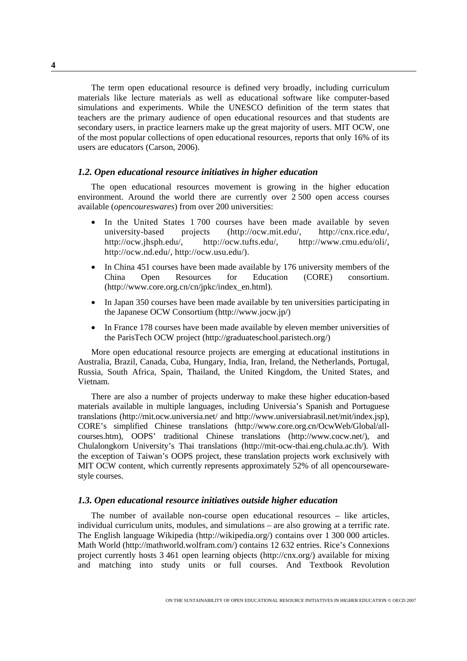The term open educational resource is defined very broadly, including curriculum materials like lecture materials as well as educational software like computer-based simulations and experiments. While the UNESCO definition of the term states that teachers are the primary audience of open educational resources and that students are secondary users, in practice learners make up the great majority of users. MIT OCW, one of the most popular collections of open educational resources, reports that only 16% of its users are educators (Carson, 2006).

## *1.2. Open educational resource initiatives in higher education*

The open educational resources movement is growing in the higher education environment. Around the world there are currently over 2 500 open access courses available (*opencoureswares*) from over 200 universities:

- In the United States 1 700 courses have been made available by seven university-based projects (http://ocw.mit.edu/, http://cnx.rice.edu/, http://ocw.jhsph.edu/, http://ocw.tufts.edu/, http://www.cmu.edu/oli/, http://ocw.nd.edu/, http://ocw.usu.edu/).
- In China 451 courses have been made available by 176 university members of the China Open Resources for Education (CORE) consortium. (http://www.core.org.cn/cn/jpkc/index\_en.html).
- In Japan 350 courses have been made available by ten universities participating in the Japanese OCW Consortium (http://www.jocw.jp/)
- In France 178 courses have been made available by eleven member universities of the ParisTech OCW project (http://graduateschool.paristech.org/)

More open educational resource projects are emerging at educational institutions in Australia, Brazil, Canada, Cuba, Hungary, India, Iran, Ireland, the Netherlands, Portugal, Russia, South Africa, Spain, Thailand, the United Kingdom, the United States, and Vietnam.

There are also a number of projects underway to make these higher education-based materials available in multiple languages, including Universia's Spanish and Portuguese translations (http://mit.ocw.universia.net/ and http://www.universiabrasil.net/mit/index.jsp), CORE's simplified Chinese translations (http://www.core.org.cn/OcwWeb/Global/allcourses.htm), OOPS' traditional Chinese translations (http://www.cocw.net/), and Chulalongkorn University's Thai translations (http://mit-ocw-thai.eng.chula.ac.th/). With the exception of Taiwan's OOPS project, these translation projects work exclusively with MIT OCW content, which currently represents approximately 52% of all opencoursewarestyle courses.

## *1.3. Open educational resource initiatives outside higher education*

The number of available non-course open educational resources – like articles, individual curriculum units, modules, and simulations – are also growing at a terrific rate. The English language Wikipedia (http://wikipedia.org/) contains over 1 300 000 articles. Math World (http://mathworld.wolfram.com/) contains 12 632 entries. Rice's Connexions project currently hosts 3 461 open learning objects (http://cnx.org/) available for mixing and matching into study units or full courses. And Textbook Revolution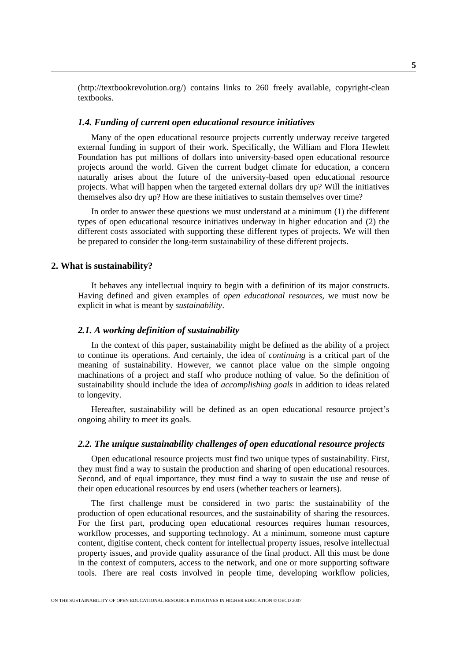<span id="page-4-0"></span>(http://textbookrevolution.org/) contains links to 260 freely available, copyright-clean textbooks.

## *1.4. Funding of current open educational resource initiatives*

Many of the open educational resource projects currently underway receive targeted external funding in support of their work. Specifically, the William and Flora Hewlett Foundation has put millions of dollars into university-based open educational resource projects around the world. Given the current budget climate for education, a concern naturally arises about the future of the university-based open educational resource projects. What will happen when the targeted external dollars dry up? Will the initiatives themselves also dry up? How are these initiatives to sustain themselves over time?

In order to answer these questions we must understand at a minimum (1) the different types of open educational resource initiatives underway in higher education and (2) the different costs associated with supporting these different types of projects. We will then be prepared to consider the long-term sustainability of these different projects.

## **2. What is sustainability?**

It behaves any intellectual inquiry to begin with a definition of its major constructs. Having defined and given examples of *open educational resources*, we must now be explicit in what is meant by *sustainability*.

## *2.1. A working definition of sustainability*

In the context of this paper, sustainability might be defined as the ability of a project to continue its operations. And certainly, the idea of *continuing* is a critical part of the meaning of sustainability. However, we cannot place value on the simple ongoing machinations of a project and staff who produce nothing of value. So the definition of sustainability should include the idea of *accomplishing goals* in addition to ideas related to longevity.

Hereafter, sustainability will be defined as an open educational resource project's ongoing ability to meet its goals.

#### *2.2. The unique sustainability challenges of open educational resource projects*

Open educational resource projects must find two unique types of sustainability. First, they must find a way to sustain the production and sharing of open educational resources. Second, and of equal importance, they must find a way to sustain the use and reuse of their open educational resources by end users (whether teachers or learners).

The first challenge must be considered in two parts: the sustainability of the production of open educational resources, and the sustainability of sharing the resources. For the first part, producing open educational resources requires human resources, workflow processes, and supporting technology. At a minimum, someone must capture content, digitise content, check content for intellectual property issues, resolve intellectual property issues, and provide quality assurance of the final product. All this must be done in the context of computers, access to the network, and one or more supporting software tools. There are real costs involved in people time, developing workflow policies,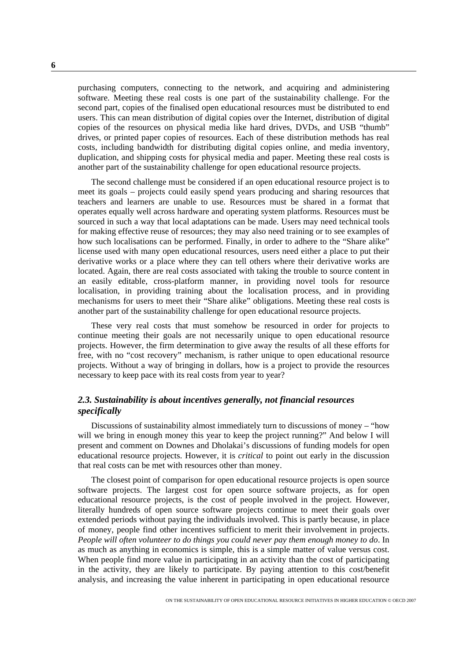purchasing computers, connecting to the network, and acquiring and administering software. Meeting these real costs is one part of the sustainability challenge. For the second part, copies of the finalised open educational resources must be distributed to end users. This can mean distribution of digital copies over the Internet, distribution of digital copies of the resources on physical media like hard drives, DVDs, and USB "thumb" drives, or printed paper copies of resources. Each of these distribution methods has real costs, including bandwidth for distributing digital copies online, and media inventory, duplication, and shipping costs for physical media and paper. Meeting these real costs is another part of the sustainability challenge for open educational resource projects.

The second challenge must be considered if an open educational resource project is to meet its goals – projects could easily spend years producing and sharing resources that teachers and learners are unable to use. Resources must be shared in a format that operates equally well across hardware and operating system platforms. Resources must be sourced in such a way that local adaptations can be made. Users may need technical tools for making effective reuse of resources; they may also need training or to see examples of how such localisations can be performed. Finally, in order to adhere to the "Share alike" license used with many open educational resources, users need either a place to put their derivative works or a place where they can tell others where their derivative works are located. Again, there are real costs associated with taking the trouble to source content in an easily editable, cross-platform manner, in providing novel tools for resource localisation, in providing training about the localisation process, and in providing mechanisms for users to meet their "Share alike" obligations. Meeting these real costs is another part of the sustainability challenge for open educational resource projects.

These very real costs that must somehow be resourced in order for projects to continue meeting their goals are not necessarily unique to open educational resource projects. However, the firm determination to give away the results of all these efforts for free, with no "cost recovery" mechanism, is rather unique to open educational resource projects. Without a way of bringing in dollars, how is a project to provide the resources necessary to keep pace with its real costs from year to year?

## *2.3. Sustainability is about incentives generally, not financial resources specifically*

Discussions of sustainability almost immediately turn to discussions of money – "how will we bring in enough money this year to keep the project running?" And below I will present and comment on Downes and Dholakai's discussions of funding models for open educational resource projects. However, it is *critical* to point out early in the discussion that real costs can be met with resources other than money.

The closest point of comparison for open educational resource projects is open source software projects. The largest cost for open source software projects, as for open educational resource projects, is the cost of people involved in the project. However, literally hundreds of open source software projects continue to meet their goals over extended periods without paying the individuals involved. This is partly because, in place of money, people find other incentives sufficient to merit their involvement in projects. *People will often volunteer to do things you could never pay them enough money to do*. In as much as anything in economics is simple, this is a simple matter of value versus cost. When people find more value in participating in an activity than the cost of participating in the activity, they are likely to participate. By paying attention to this cost/benefit analysis, and increasing the value inherent in participating in open educational resource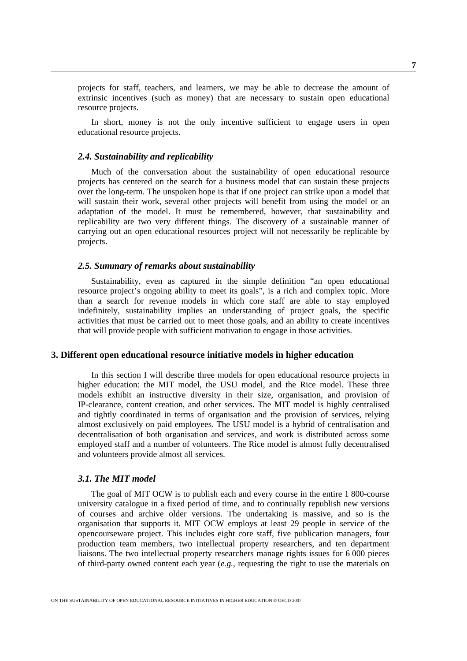<span id="page-6-0"></span>projects for staff, teachers, and learners, we may be able to decrease the amount of extrinsic incentives (such as money) that are necessary to sustain open educational resource projects.

In short, money is not the only incentive sufficient to engage users in open educational resource projects.

#### *2.4. Sustainability and replicability*

Much of the conversation about the sustainability of open educational resource projects has centered on the search for a business model that can sustain these projects over the long-term. The unspoken hope is that if one project can strike upon a model that will sustain their work, several other projects will benefit from using the model or an adaptation of the model. It must be remembered, however, that sustainability and replicability are two very different things. The discovery of a sustainable manner of carrying out an open educational resources project will not necessarily be replicable by projects.

## *2.5. Summary of remarks about sustainability*

Sustainability, even as captured in the simple definition "an open educational resource project's ongoing ability to meet its goals", is a rich and complex topic. More than a search for revenue models in which core staff are able to stay employed indefinitely, sustainability implies an understanding of project goals, the specific activities that must be carried out to meet those goals, and an ability to create incentives that will provide people with sufficient motivation to engage in those activities.

## **3. Different open educational resource initiative models in higher education**

In this section I will describe three models for open educational resource projects in higher education: the MIT model, the USU model, and the Rice model. These three models exhibit an instructive diversity in their size, organisation, and provision of IP-clearance, content creation, and other services. The MIT model is highly centralised and tightly coordinated in terms of organisation and the provision of services, relying almost exclusively on paid employees. The USU model is a hybrid of centralisation and decentralisation of both organisation and services, and work is distributed across some employed staff and a number of volunteers. The Rice model is almost fully decentralised and volunteers provide almost all services.

#### *3.1. The MIT model*

The goal of MIT OCW is to publish each and every course in the entire 1 800-course university catalogue in a fixed period of time, and to continually republish new versions of courses and archive older versions. The undertaking is massive, and so is the organisation that supports it. MIT OCW employs at least 29 people in service of the opencourseware project. This includes eight core staff, five publication managers, four production team members, two intellectual property researchers, and ten department liaisons. The two intellectual property researchers manage rights issues for 6 000 pieces of third-party owned content each year (*e.g.*, requesting the right to use the materials on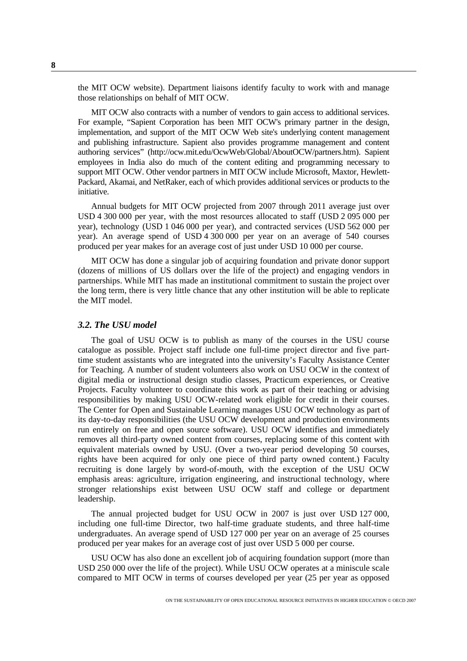the MIT OCW website). Department liaisons identify faculty to work with and manage those relationships on behalf of MIT OCW.

MIT OCW also contracts with a number of vendors to gain access to additional services. For example, "Sapient Corporation has been MIT OCW's primary partner in the design, implementation, and support of the MIT OCW Web site's underlying content management and publishing infrastructure. Sapient also provides programme management and content authoring services" (http://ocw.mit.edu/OcwWeb/Global/AboutOCW/partners.htm). Sapient employees in India also do much of the content editing and programming necessary to support MIT OCW. Other vendor partners in MIT OCW include Microsoft, Maxtor, Hewlett-Packard, Akamai, and NetRaker, each of which provides additional services or products to the initiative.

Annual budgets for MIT OCW projected from 2007 through 2011 average just over USD 4 300 000 per year, with the most resources allocated to staff (USD 2 095 000 per year), technology (USD 1 046 000 per year), and contracted services (USD 562 000 per year). An average spend of USD 4 300 000 per year on an average of 540 courses produced per year makes for an average cost of just under USD 10 000 per course.

MIT OCW has done a singular job of acquiring foundation and private donor support (dozens of millions of US dollars over the life of the project) and engaging vendors in partnerships. While MIT has made an institutional commitment to sustain the project over the long term, there is very little chance that any other institution will be able to replicate the MIT model.

#### *3.2. The USU model*

The goal of USU OCW is to publish as many of the courses in the USU course catalogue as possible. Project staff include one full-time project director and five parttime student assistants who are integrated into the university's Faculty Assistance Center for Teaching. A number of student volunteers also work on USU OCW in the context of digital media or instructional design studio classes, Practicum experiences, or Creative Projects. Faculty volunteer to coordinate this work as part of their teaching or advising responsibilities by making USU OCW-related work eligible for credit in their courses. The Center for Open and Sustainable Learning manages USU OCW technology as part of its day-to-day responsibilities (the USU OCW development and production environments run entirely on free and open source software). USU OCW identifies and immediately removes all third-party owned content from courses, replacing some of this content with equivalent materials owned by USU. (Over a two-year period developing 50 courses, rights have been acquired for only one piece of third party owned content.) Faculty recruiting is done largely by word-of-mouth, with the exception of the USU OCW emphasis areas: agriculture, irrigation engineering, and instructional technology, where stronger relationships exist between USU OCW staff and college or department leadership.

The annual projected budget for USU OCW in 2007 is just over USD 127 000, including one full-time Director, two half-time graduate students, and three half-time undergraduates. An average spend of USD 127 000 per year on an average of 25 courses produced per year makes for an average cost of just over USD 5 000 per course.

USU OCW has also done an excellent job of acquiring foundation support (more than USD 250 000 over the life of the project). While USU OCW operates at a miniscule scale compared to MIT OCW in terms of courses developed per year (25 per year as opposed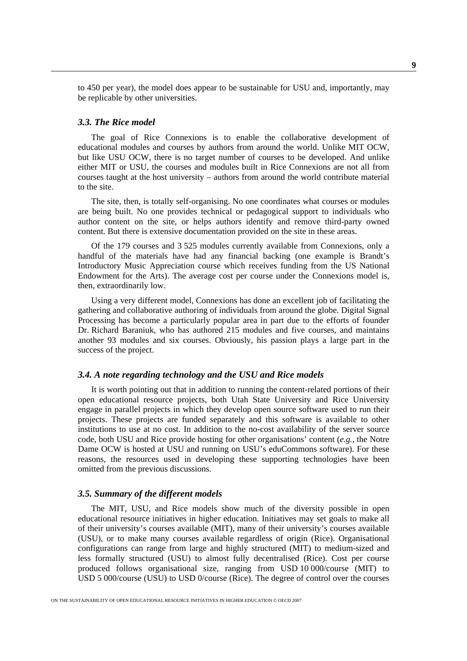to 450 per year), the model does appear to be sustainable for USU and, importantly, may be replicable by other universities.

## *3.3. The Rice model*

The goal of Rice Connexions is to enable the collaborative development of educational modules and courses by authors from around the world. Unlike MIT OCW, but like USU OCW, there is no target number of courses to be developed. And unlike either MIT or USU, the courses and modules built in Rice Connexions are not all from courses taught at the host university – authors from around the world contribute material to the site.

The site, then, is totally self-organising. No one coordinates what courses or modules are being built. No one provides technical or pedagogical support to individuals who author content on the site, or helps authors identify and remove third-party owned content. But there is extensive documentation provided on the site in these areas.

Of the 179 courses and 3 525 modules currently available from Connexions, only a handful of the materials have had any financial backing (one example is Brandt's Introductory Music Appreciation course which receives funding from the US National Endowment for the Arts). The average cost per course under the Connexions model is, then, extraordinarily low.

Using a very different model, Connexions has done an excellent job of facilitating the gathering and collaborative authoring of individuals from around the globe. Digital Signal Processing has become a particularly popular area in part due to the efforts of founder Dr. Richard Baraniuk, who has authored 215 modules and five courses, and maintains another 93 modules and six courses. Obviously, his passion plays a large part in the success of the project.

## *3.4. A note regarding technology and the USU and Rice models*

It is worth pointing out that in addition to running the content-related portions of their open educational resource projects, both Utah State University and Rice University engage in parallel projects in which they develop open source software used to run their projects. These projects are funded separately and this software is available to other institutions to use at no cost. In addition to the no-cost availability of the server source code, both USU and Rice provide hosting for other organisations' content (*e.g.*, the Notre Dame OCW is hosted at USU and running on USU's eduCommons software). For these reasons, the resources used in developing these supporting technologies have been omitted from the previous discussions.

#### *3.5. Summary of the different models*

The MIT, USU, and Rice models show much of the diversity possible in open educational resource initiatives in higher education. Initiatives may set goals to make all of their university's courses available (MIT), many of their university's courses available (USU), or to make many courses available regardless of origin (Rice). Organisational configurations can range from large and highly structured (MIT) to medium-sized and less formally structured (USU) to almost fully decentralised (Rice). Cost per course produced follows organisational size, ranging from USD 10 000/course (MIT) to USD 5 000/course (USU) to USD 0/course (Rice). The degree of control over the courses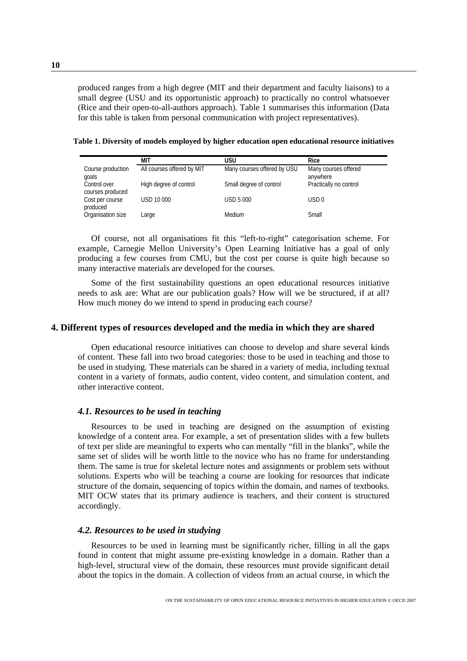<span id="page-9-0"></span>produced ranges from a high degree (MIT and their department and faculty liaisons) to a small degree (USU and its opportunistic approach) to practically no control whatsoever (Rice and their open-to-all-authors approach). Table 1 summarises this information (Data for this table is taken from personal communication with project representatives).

**Table 1. Diversity of models employed by higher education open educational resource initiatives** 

|                                  | МIТ                        | usu                         | <b>Rice</b>                      |
|----------------------------------|----------------------------|-----------------------------|----------------------------------|
| Course production<br>goals       | All courses offered by MIT | Many courses offered by USU | Many courses offered<br>anywhere |
| Control over<br>courses produced | High degree of control     | Small degree of control     | Practically no control           |
| Cost per course<br>produced      | USD 10 000                 | <b>USD 5 000</b>            | USD <sub>0</sub>                 |
| Organisation size                | Large                      | Medium                      | Small                            |

Of course, not all organisations fit this "left-to-right" categorisation scheme. For example, Carnegie Mellon University's Open Learning Initiative has a goal of only producing a few courses from CMU, but the cost per course is quite high because so many interactive materials are developed for the courses.

Some of the first sustainability questions an open educational resources initiative needs to ask are: What are our publication goals? How will we be structured, if at all? How much money do we intend to spend in producing each course?

#### **4. Different types of resources developed and the media in which they are shared**

Open educational resource initiatives can choose to develop and share several kinds of content. These fall into two broad categories: those to be used in teaching and those to be used in studying. These materials can be shared in a variety of media, including textual content in a variety of formats, audio content, video content, and simulation content, and other interactive content.

## *4.1. Resources to be used in teaching*

Resources to be used in teaching are designed on the assumption of existing knowledge of a content area. For example, a set of presentation slides with a few bullets of text per slide are meaningful to experts who can mentally "fill in the blanks", while the same set of slides will be worth little to the novice who has no frame for understanding them. The same is true for skeletal lecture notes and assignments or problem sets without solutions. Experts who will be teaching a course are looking for resources that indicate structure of the domain, sequencing of topics within the domain, and names of textbooks. MIT OCW states that its primary audience is teachers, and their content is structured accordingly.

## *4.2. Resources to be used in studying*

Resources to be used in learning must be significantly richer, filling in all the gaps found in content that might assume pre-existing knowledge in a domain. Rather than a high-level, structural view of the domain, these resources must provide significant detail about the topics in the domain. A collection of videos from an actual course, in which the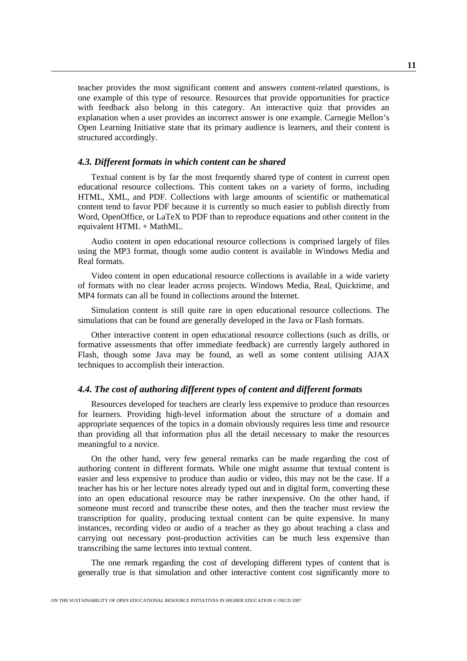teacher provides the most significant content and answers content-related questions, is one example of this type of resource. Resources that provide opportunities for practice with feedback also belong in this category. An interactive quiz that provides an explanation when a user provides an incorrect answer is one example. Carnegie Mellon's Open Learning Initiative state that its primary audience is learners, and their content is structured accordingly.

#### *4.3. Different formats in which content can be shared*

Textual content is by far the most frequently shared type of content in current open educational resource collections. This content takes on a variety of forms, including HTML, XML, and PDF. Collections with large amounts of scientific or mathematical content tend to favor PDF because it is currently so much easier to publish directly from Word, OpenOffice, or LaTeX to PDF than to reproduce equations and other content in the equivalent HTML + MathML.

Audio content in open educational resource collections is comprised largely of files using the MP3 format, though some audio content is available in Windows Media and Real formats.

Video content in open educational resource collections is available in a wide variety of formats with no clear leader across projects. Windows Media, Real, Quicktime, and MP4 formats can all be found in collections around the Internet.

Simulation content is still quite rare in open educational resource collections. The simulations that can be found are generally developed in the Java or Flash formats.

Other interactive content in open educational resource collections (such as drills, or formative assessments that offer immediate feedback) are currently largely authored in Flash, though some Java may be found, as well as some content utilising AJAX techniques to accomplish their interaction.

#### *4.4. The cost of authoring different types of content and different formats*

Resources developed for teachers are clearly less expensive to produce than resources for learners. Providing high-level information about the structure of a domain and appropriate sequences of the topics in a domain obviously requires less time and resource than providing all that information plus all the detail necessary to make the resources meaningful to a novice.

On the other hand, very few general remarks can be made regarding the cost of authoring content in different formats. While one might assume that textual content is easier and less expensive to produce than audio or video, this may not be the case. If a teacher has his or her lecture notes already typed out and in digital form, converting these into an open educational resource may be rather inexpensive. On the other hand, if someone must record and transcribe these notes, and then the teacher must review the transcription for quality, producing textual content can be quite expensive. In many instances, recording video or audio of a teacher as they go about teaching a class and carrying out necessary post-production activities can be much less expensive than transcribing the same lectures into textual content.

The one remark regarding the cost of developing different types of content that is generally true is that simulation and other interactive content cost significantly more to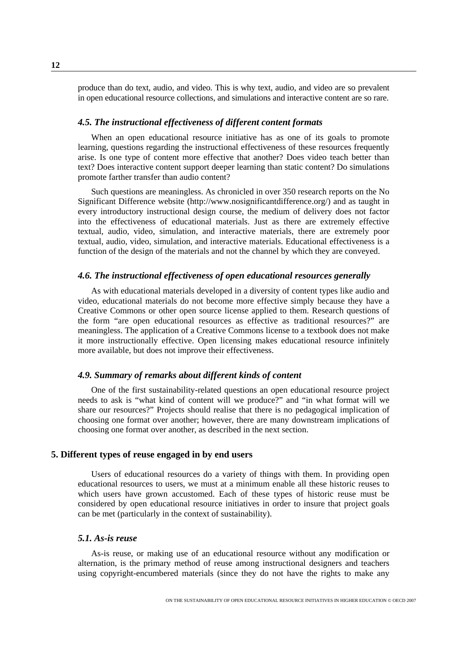<span id="page-11-0"></span>produce than do text, audio, and video. This is why text, audio, and video are so prevalent in open educational resource collections, and simulations and interactive content are so rare.

## *4.5. The instructional effectiveness of different content formats*

When an open educational resource initiative has as one of its goals to promote learning, questions regarding the instructional effectiveness of these resources frequently arise. Is one type of content more effective that another? Does video teach better than text? Does interactive content support deeper learning than static content? Do simulations promote farther transfer than audio content?

Such questions are meaningless. As chronicled in over 350 research reports on the No Significant Difference website [\(http://www.nosignificantdifference.org/\)](http://www.nosignificantdifference.org/) and as taught in every introductory instructional design course, the medium of delivery does not factor into the effectiveness of educational materials. Just as there are extremely effective textual, audio, video, simulation, and interactive materials, there are extremely poor textual, audio, video, simulation, and interactive materials. Educational effectiveness is a function of the design of the materials and not the channel by which they are conveyed.

## *4.6. The instructional effectiveness of open educational resources generally*

As with educational materials developed in a diversity of content types like audio and video, educational materials do not become more effective simply because they have a Creative Commons or other open source license applied to them. Research questions of the form "are open educational resources as effective as traditional resources?" are meaningless. The application of a Creative Commons license to a textbook does not make it more instructionally effective. Open licensing makes educational resource infinitely more available, but does not improve their effectiveness.

## *4.9. Summary of remarks about different kinds of content*

One of the first sustainability-related questions an open educational resource project needs to ask is "what kind of content will we produce?" and "in what format will we share our resources?" Projects should realise that there is no pedagogical implication of choosing one format over another; however, there are many downstream implications of choosing one format over another, as described in the next section.

## **5. Different types of reuse engaged in by end users**

Users of educational resources do a variety of things with them. In providing open educational resources to users, we must at a minimum enable all these historic reuses to which users have grown accustomed. Each of these types of historic reuse must be considered by open educational resource initiatives in order to insure that project goals can be met (particularly in the context of sustainability).

## *5.1. As-is reuse*

As-is reuse, or making use of an educational resource without any modification or alternation, is the primary method of reuse among instructional designers and teachers using copyright-encumbered materials (since they do not have the rights to make any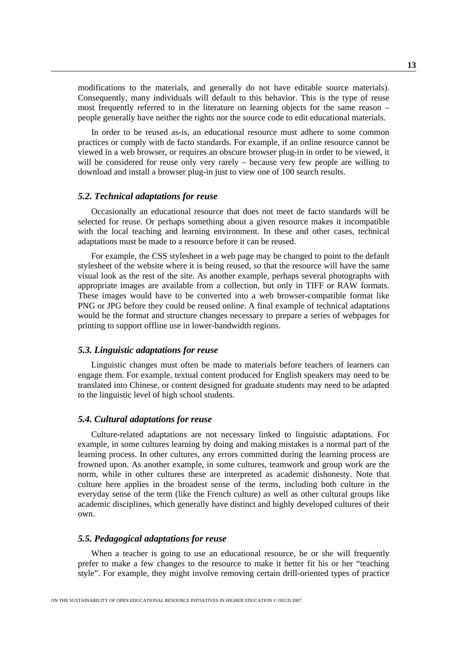modifications to the materials, and generally do not have editable source materials). Consequently, many individuals will default to this behavior. This is the type of reuse most frequently referred to in the literature on learning objects for the same reason – people generally have neither the rights nor the source code to edit educational materials.

In order to be reused as-is, an educational resource must adhere to some common practices or comply with de facto standards. For example, if an online resource cannot be viewed in a web browser, or requires an obscure browser plug-in in order to be viewed, it will be considered for reuse only very rarely – because very few people are willing to download and install a browser plug-in just to view one of 100 search results.

## *5.2. Technical adaptations for reuse*

Occasionally an educational resource that does not meet de facto standards will be selected for reuse. Or perhaps something about a given resource makes it incompatible with the local teaching and learning environment. In these and other cases, technical adaptations must be made to a resource before it can be reused.

For example, the CSS stylesheet in a web page may be changed to point to the default stylesheet of the website where it is being reused, so that the resource will have the same visual look as the rest of the site. As another example, perhaps several photographs with appropriate images are available from a collection, but only in TIFF or RAW formats. These images would have to be converted into a web browser-compatible format like PNG or JPG before they could be reused online. A final example of technical adaptations would be the format and structure changes necessary to prepare a series of webpages for printing to support offline use in lower-bandwidth regions.

#### *5.3. Linguistic adaptations for reuse*

Linguistic changes must often be made to materials before teachers of learners can engage them. For example, textual content produced for English speakers may need to be translated into Chinese, or content designed for graduate students may need to be adapted to the linguistic level of high school students.

## *5.4. Cultural adaptations for reuse*

Culture-related adaptations are not necessary linked to linguistic adaptations. For example, in some cultures learning by doing and making mistakes is a normal part of the learning process. In other cultures, any errors committed during the learning process are frowned upon. As another example, in some cultures, teamwork and group work are the norm, while in other cultures these are interpreted as academic dishonesty. Note that culture here applies in the broadest sense of the terms, including both culture in the everyday sense of the term (like the French culture) as well as other cultural groups like academic disciplines, which generally have distinct and highly developed cultures of their own.

## *5.5. Pedagogical adaptations for reuse*

When a teacher is going to use an educational resource, he or she will frequently prefer to make a few changes to the resource to make it better fit his or her "teaching style". For example, they might involve removing certain drill-oriented types of practice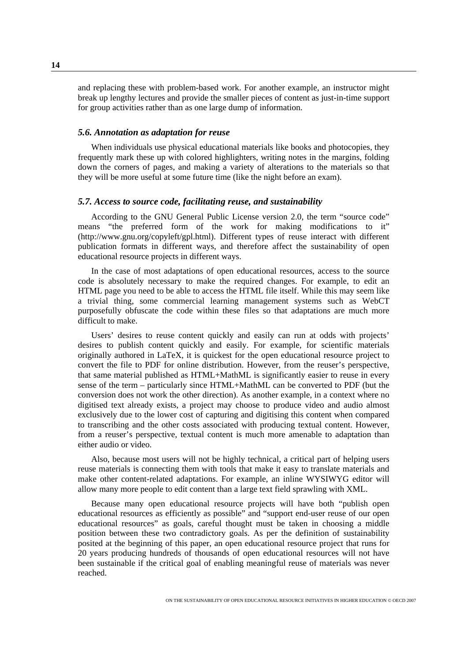and replacing these with problem-based work. For another example, an instructor might break up lengthy lectures and provide the smaller pieces of content as just-in-time support for group activities rather than as one large dump of information.

## *5.6. Annotation as adaptation for reuse*

When individuals use physical educational materials like books and photocopies, they frequently mark these up with colored highlighters, writing notes in the margins, folding down the corners of pages, and making a variety of alterations to the materials so that they will be more useful at some future time (like the night before an exam).

## *5.7. Access to source code, facilitating reuse, and sustainability*

According to the GNU General Public License version 2.0, the term "source code" means "the preferred form of the work for making modifications to it" (http://www.gnu.org/copyleft/gpl.html). Different types of reuse interact with different publication formats in different ways, and therefore affect the sustainability of open educational resource projects in different ways.

In the case of most adaptations of open educational resources, access to the source code is absolutely necessary to make the required changes. For example, to edit an HTML page you need to be able to access the HTML file itself. While this may seem like a trivial thing, some commercial learning management systems such as WebCT purposefully obfuscate the code within these files so that adaptations are much more difficult to make.

Users' desires to reuse content quickly and easily can run at odds with projects' desires to publish content quickly and easily. For example, for scientific materials originally authored in LaTeX, it is quickest for the open educational resource project to convert the file to PDF for online distribution. However, from the reuser's perspective, that same material published as HTML+MathML is significantly easier to reuse in every sense of the term – particularly since HTML+MathML can be converted to PDF (but the conversion does not work the other direction). As another example, in a context where no digitised text already exists, a project may choose to produce video and audio almost exclusively due to the lower cost of capturing and digitising this content when compared to transcribing and the other costs associated with producing textual content. However, from a reuser's perspective, textual content is much more amenable to adaptation than either audio or video.

Also, because most users will not be highly technical, a critical part of helping users reuse materials is connecting them with tools that make it easy to translate materials and make other content-related adaptations. For example, an inline WYSIWYG editor will allow many more people to edit content than a large text field sprawling with XML.

Because many open educational resource projects will have both "publish open educational resources as efficiently as possible" and "support end-user reuse of our open educational resources" as goals, careful thought must be taken in choosing a middle position between these two contradictory goals. As per the definition of sustainability posited at the beginning of this paper, an open educational resource project that runs for 20 years producing hundreds of thousands of open educational resources will not have been sustainable if the critical goal of enabling meaningful reuse of materials was never reached.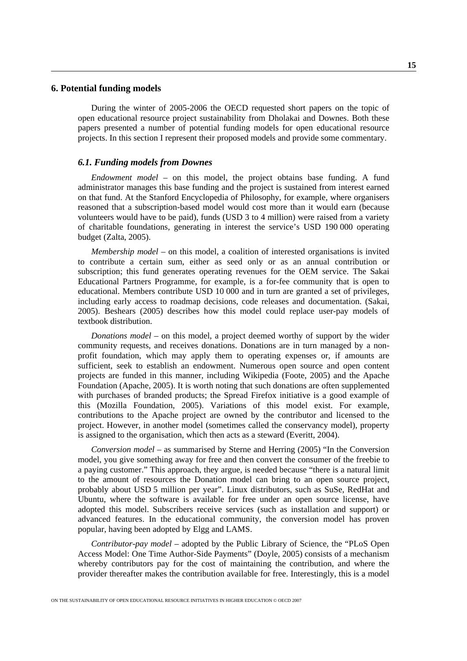#### <span id="page-14-0"></span>**6. Potential funding models**

During the winter of 2005-2006 the OECD requested short papers on the topic of open educational resource project sustainability from Dholakai and Downes. Both these papers presented a number of potential funding models for open educational resource projects. In this section I represent their proposed models and provide some commentary.

#### *6.1. Funding models from Downes*

*Endowment model –* on this model, the project obtains base funding. A fund administrator manages this base funding and the project is sustained from interest earned on that fund. At the Stanford Encyclopedia of Philosophy, for example, where organisers reasoned that a subscription-based model would cost more than it would earn (because volunteers would have to be paid), funds (USD 3 to 4 million) were raised from a variety of charitable foundations, generating in interest the service's USD 190 000 operating budget (Zalta, 2005).

*Membership model* – on this model, a coalition of interested organisations is invited to contribute a certain sum, either as seed only or as an annual contribution or subscription; this fund generates operating revenues for the OEM service. The Sakai Educational Partners Programme, for example, is a for-fee community that is open to educational. Members contribute USD 10 000 and in turn are granted a set of privileges, including early access to roadmap decisions, code releases and documentation. (Sakai, 2005). Beshears (2005) describes how this model could replace user-pay models of textbook distribution.

*Donations model* – on this model, a project deemed worthy of support by the wider community requests, and receives donations. Donations are in turn managed by a nonprofit foundation, which may apply them to operating expenses or, if amounts are sufficient, seek to establish an endowment. Numerous open source and open content projects are funded in this manner, including Wikipedia (Foote, 2005) and the Apache Foundation (Apache, 2005). It is worth noting that such donations are often supplemented with purchases of branded products; the Spread Firefox initiative is a good example of this (Mozilla Foundation, 2005). Variations of this model exist. For example, contributions to the Apache project are owned by the contributor and licensed to the project. However, in another model (sometimes called the conservancy model), property is assigned to the organisation, which then acts as a steward (Everitt, 2004).

*Conversion model* – as summarised by Sterne and Herring (2005) "In the Conversion model, you give something away for free and then convert the consumer of the freebie to a paying customer." This approach, they argue, is needed because "there is a natural limit to the amount of resources the Donation model can bring to an open source project, probably about USD 5 million per year". Linux distributors, such as SuSe, RedHat and Ubuntu, where the software is available for free under an open source license, have adopted this model. Subscribers receive services (such as installation and support) or advanced features. In the educational community, the conversion model has proven popular, having been adopted by Elgg and LAMS.

*Contributor-pay model* – adopted by the Public Library of Science, the "PLoS Open Access Model: One Time Author-Side Payments" (Doyle, 2005) consists of a mechanism whereby contributors pay for the cost of maintaining the contribution, and where the provider thereafter makes the contribution available for free. Interestingly, this is a model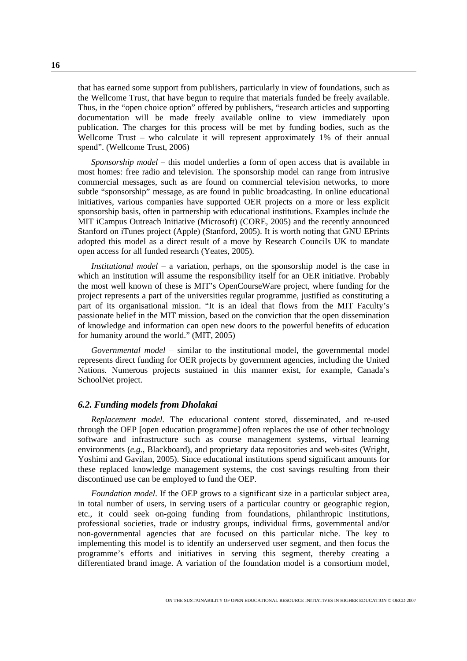that has earned some support from publishers, particularly in view of foundations, such as the Wellcome Trust, that have begun to require that materials funded be freely available. Thus, in the "open choice option" offered by publishers, "research articles and supporting documentation will be made freely available online to view immediately upon publication. The charges for this process will be met by funding bodies, such as the Wellcome Trust – who calculate it will represent approximately 1% of their annual spend". (Wellcome Trust, 2006)

*Sponsorship model* – this model underlies a form of open access that is available in most homes: free radio and television. The sponsorship model can range from intrusive commercial messages, such as are found on commercial television networks, to more subtle "sponsorship" message, as are found in public broadcasting. In online educational initiatives, various companies have supported OER projects on a more or less explicit sponsorship basis, often in partnership with educational institutions. Examples include the MIT iCampus Outreach Initiative (Microsoft) (CORE, 2005) and the recently announced Stanford on iTunes project (Apple) (Stanford, 2005). It is worth noting that GNU EPrints adopted this model as a direct result of a move by Research Councils UK to mandate open access for all funded research (Yeates, 2005).

*Institutional model* – a variation, perhaps, on the sponsorship model is the case in which an institution will assume the responsibility itself for an OER initiative. Probably the most well known of these is MIT's OpenCourseWare project, where funding for the project represents a part of the universities regular programme, justified as constituting a part of its organisational mission. "It is an ideal that flows from the MIT Faculty's passionate belief in the MIT mission, based on the conviction that the open dissemination of knowledge and information can open new doors to the powerful benefits of education for humanity around the world." (MIT, 2005)

*Governmental model* – similar to the institutional model, the governmental model represents direct funding for OER projects by government agencies, including the United Nations. Numerous projects sustained in this manner exist, for example, Canada's SchoolNet project.

#### *6.2. Funding models from Dholakai*

*Replacement model.* The educational content stored, disseminated, and re-used through the OEP [open education programme] often replaces the use of other technology software and infrastructure such as course management systems, virtual learning environments (*e.g.*, Blackboard), and proprietary data repositories and web-sites (Wright, Yoshimi and Gavilan, 2005). Since educational institutions spend significant amounts for these replaced knowledge management systems, the cost savings resulting from their discontinued use can be employed to fund the OEP.

*Foundation model*. If the OEP grows to a significant size in a particular subject area, in total number of users, in serving users of a particular country or geographic region, etc., it could seek on-going funding from foundations, philanthropic institutions, professional societies, trade or industry groups, individual firms, governmental and/or non-governmental agencies that are focused on this particular niche. The key to implementing this model is to identify an underserved user segment, and then focus the programme's efforts and initiatives in serving this segment, thereby creating a differentiated brand image. A variation of the foundation model is a consortium model,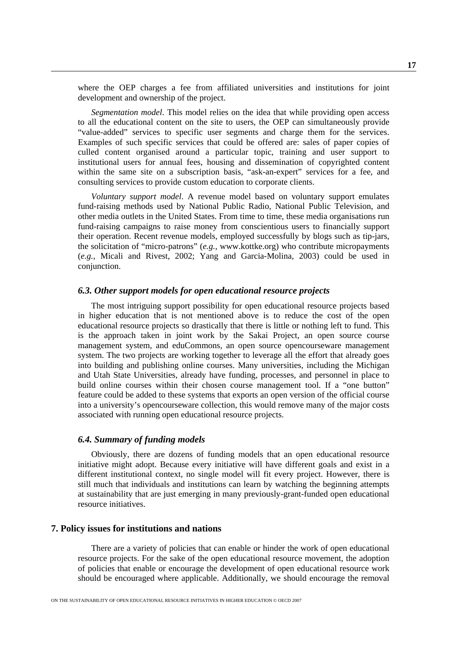<span id="page-16-0"></span>where the OEP charges a fee from affiliated universities and institutions for joint development and ownership of the project.

*Segmentation model*. This model relies on the idea that while providing open access to all the educational content on the site to users, the OEP can simultaneously provide "value-added" services to specific user segments and charge them for the services. Examples of such specific services that could be offered are: sales of paper copies of culled content organised around a particular topic, training and user support to institutional users for annual fees, housing and dissemination of copyrighted content within the same site on a subscription basis, "ask-an-expert" services for a fee, and consulting services to provide custom education to corporate clients.

*Voluntary support model*. A revenue model based on voluntary support emulates fund-raising methods used by National Public Radio, National Public Television, and other media outlets in the United States. From time to time, these media organisations run fund-raising campaigns to raise money from conscientious users to financially support their operation. Recent revenue models, employed successfully by blogs such as tip-jars, the solicitation of "micro-patrons" (*e.g.*, [www.kottke.org\)](http://www.kottke.org) who contribute micropayments (*e.g.*, Micali and Rivest, 2002; Yang and Garcia-Molina, 2003) could be used in conjunction.

## *6.3. Other support models for open educational resource projects*

The most intriguing support possibility for open educational resource projects based in higher education that is not mentioned above is to reduce the cost of the open educational resource projects so drastically that there is little or nothing left to fund. This is the approach taken in joint work by the Sakai Project, an open source course management system, and eduCommons, an open source opencourseware management system. The two projects are working together to leverage all the effort that already goes into building and publishing online courses. Many universities, including the Michigan and Utah State Universities, already have funding, processes, and personnel in place to build online courses within their chosen course management tool. If a "one button" feature could be added to these systems that exports an open version of the official course into a university's opencourseware collection, this would remove many of the major costs associated with running open educational resource projects.

## *6.4. Summary of funding models*

Obviously, there are dozens of funding models that an open educational resource initiative might adopt. Because every initiative will have different goals and exist in a different institutional context, no single model will fit every project. However, there is still much that individuals and institutions can learn by watching the beginning attempts at sustainability that are just emerging in many previously-grant-funded open educational resource initiatives.

## **7. Policy issues for institutions and nations**

There are a variety of policies that can enable or hinder the work of open educational resource projects. For the sake of the open educational resource movement, the adoption of policies that enable or encourage the development of open educational resource work should be encouraged where applicable. Additionally, we should encourage the removal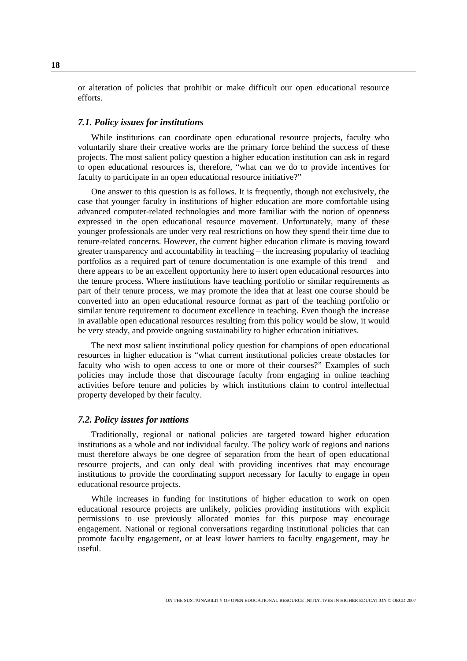or alteration of policies that prohibit or make difficult our open educational resource efforts.

#### *7.1. Policy issues for institutions*

While institutions can coordinate open educational resource projects, faculty who voluntarily share their creative works are the primary force behind the success of these projects. The most salient policy question a higher education institution can ask in regard to open educational resources is, therefore, "what can we do to provide incentives for faculty to participate in an open educational resource initiative?"

One answer to this question is as follows. It is frequently, though not exclusively, the case that younger faculty in institutions of higher education are more comfortable using advanced computer-related technologies and more familiar with the notion of openness expressed in the open educational resource movement. Unfortunately, many of these younger professionals are under very real restrictions on how they spend their time due to tenure-related concerns. However, the current higher education climate is moving toward greater transparency and accountability in teaching – the increasing popularity of teaching portfolios as a required part of tenure documentation is one example of this trend – and there appears to be an excellent opportunity here to insert open educational resources into the tenure process. Where institutions have teaching portfolio or similar requirements as part of their tenure process, we may promote the idea that at least one course should be converted into an open educational resource format as part of the teaching portfolio or similar tenure requirement to document excellence in teaching. Even though the increase in available open educational resources resulting from this policy would be slow, it would be very steady, and provide ongoing sustainability to higher education initiatives.

The next most salient institutional policy question for champions of open educational resources in higher education is "what current institutional policies create obstacles for faculty who wish to open access to one or more of their courses?" Examples of such policies may include those that discourage faculty from engaging in online teaching activities before tenure and policies by which institutions claim to control intellectual property developed by their faculty.

## *7.2. Policy issues for nations*

Traditionally, regional or national policies are targeted toward higher education institutions as a whole and not individual faculty. The policy work of regions and nations must therefore always be one degree of separation from the heart of open educational resource projects, and can only deal with providing incentives that may encourage institutions to provide the coordinating support necessary for faculty to engage in open educational resource projects.

While increases in funding for institutions of higher education to work on open educational resource projects are unlikely, policies providing institutions with explicit permissions to use previously allocated monies for this purpose may encourage engagement. National or regional conversations regarding institutional policies that can promote faculty engagement, or at least lower barriers to faculty engagement, may be useful.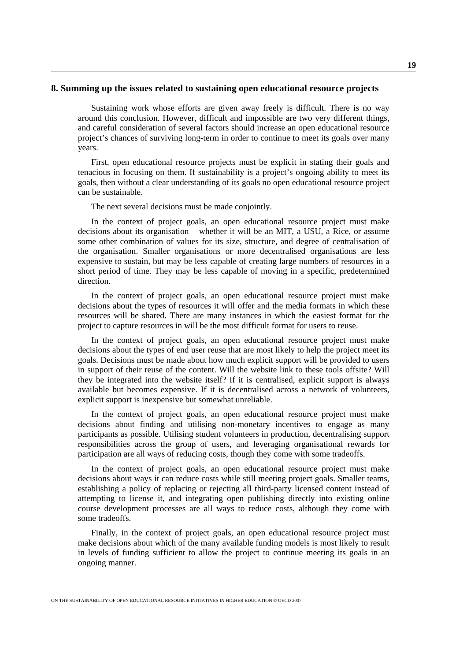#### <span id="page-18-0"></span>**8. Summing up the issues related to sustaining open educational resource projects**

Sustaining work whose efforts are given away freely is difficult. There is no way around this conclusion. However, difficult and impossible are two very different things, and careful consideration of several factors should increase an open educational resource project's chances of surviving long-term in order to continue to meet its goals over many years.

First, open educational resource projects must be explicit in stating their goals and tenacious in focusing on them. If sustainability is a project's ongoing ability to meet its goals, then without a clear understanding of its goals no open educational resource project can be sustainable.

The next several decisions must be made conjointly.

In the context of project goals, an open educational resource project must make decisions about its organisation – whether it will be an MIT, a USU, a Rice, or assume some other combination of values for its size, structure, and degree of centralisation of the organisation. Smaller organisations or more decentralised organisations are less expensive to sustain, but may be less capable of creating large numbers of resources in a short period of time. They may be less capable of moving in a specific, predetermined direction.

In the context of project goals, an open educational resource project must make decisions about the types of resources it will offer and the media formats in which these resources will be shared. There are many instances in which the easiest format for the project to capture resources in will be the most difficult format for users to reuse.

In the context of project goals, an open educational resource project must make decisions about the types of end user reuse that are most likely to help the project meet its goals. Decisions must be made about how much explicit support will be provided to users in support of their reuse of the content. Will the website link to these tools offsite? Will they be integrated into the website itself? If it is centralised, explicit support is always available but becomes expensive. If it is decentralised across a network of volunteers, explicit support is inexpensive but somewhat unreliable.

In the context of project goals, an open educational resource project must make decisions about finding and utilising non-monetary incentives to engage as many participants as possible. Utilising student volunteers in production, decentralising support responsibilities across the group of users, and leveraging organisational rewards for participation are all ways of reducing costs, though they come with some tradeoffs.

In the context of project goals, an open educational resource project must make decisions about ways it can reduce costs while still meeting project goals. Smaller teams, establishing a policy of replacing or rejecting all third-party licensed content instead of attempting to license it, and integrating open publishing directly into existing online course development processes are all ways to reduce costs, although they come with some tradeoffs.

Finally, in the context of project goals, an open educational resource project must make decisions about which of the many available funding models is most likely to result in levels of funding sufficient to allow the project to continue meeting its goals in an ongoing manner.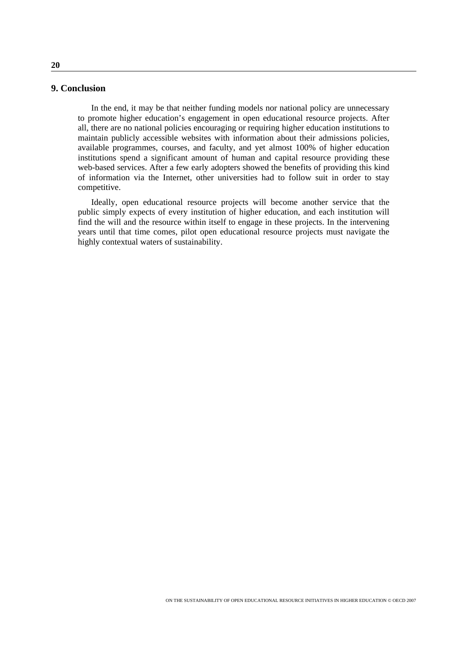## <span id="page-19-0"></span>**9. Conclusion**

In the end, it may be that neither funding models nor national policy are unnecessary to promote higher education's engagement in open educational resource projects. After all, there are no national policies encouraging or requiring higher education institutions to maintain publicly accessible websites with information about their admissions policies, available programmes, courses, and faculty, and yet almost 100% of higher education institutions spend a significant amount of human and capital resource providing these web-based services. After a few early adopters showed the benefits of providing this kind of information via the Internet, other universities had to follow suit in order to stay competitive.

Ideally, open educational resource projects will become another service that the public simply expects of every institution of higher education, and each institution will find the will and the resource within itself to engage in these projects. In the intervening years until that time comes, pilot open educational resource projects must navigate the highly contextual waters of sustainability.